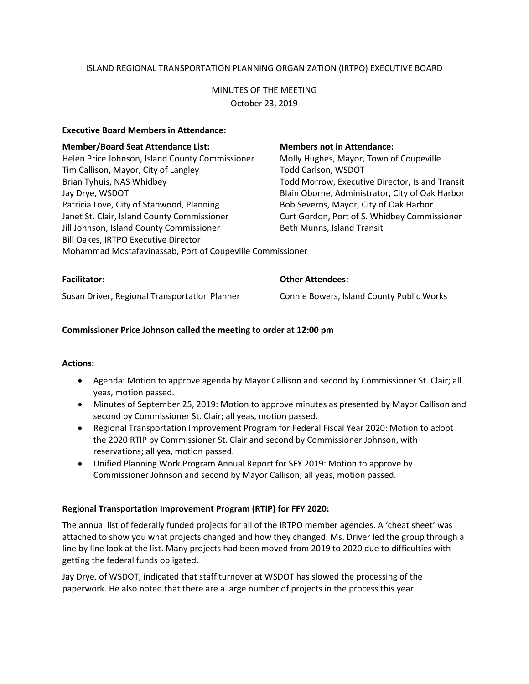# ISLAND REGIONAL TRANSPORTATION PLANNING ORGANIZATION (IRTPO) EXECUTIVE BOARD

# MINUTES OF THE MEETING October 23, 2019

#### **Executive Board Members in Attendance:**

| <b>Member/Board Seat Attendance List:</b>                 | <b>Members not in Attendance:</b>               |
|-----------------------------------------------------------|-------------------------------------------------|
| Helen Price Johnson, Island County Commissioner           | Molly Hughes, Mayor, Town of Coupeville         |
| Tim Callison, Mayor, City of Langley                      | <b>Todd Carlson, WSDOT</b>                      |
| Brian Tyhuis, NAS Whidbey                                 | Todd Morrow, Executive Director, Island Transit |
| Jay Drye, WSDOT                                           | Blain Oborne, Administrator, City of Oak Harbor |
| Patricia Love, City of Stanwood, Planning                 | Bob Severns, Mayor, City of Oak Harbor          |
| Janet St. Clair, Island County Commissioner               | Curt Gordon, Port of S. Whidbey Commissioner    |
| Jill Johnson, Island County Commissioner                  | Beth Munns, Island Transit                      |
| Bill Oakes, IRTPO Executive Director                      |                                                 |
| Mohammad Mostafavinassab, Port of Coupeville Commissioner |                                                 |
|                                                           |                                                 |

| <b>Facilitator:</b>                           | <b>Other Attendees:</b>                   |
|-----------------------------------------------|-------------------------------------------|
| Susan Driver, Regional Transportation Planner | Connie Bowers, Island County Public Works |

## **Commissioner Price Johnson called the meeting to order at 12:00 pm**

## **Actions:**

- Agenda: Motion to approve agenda by Mayor Callison and second by Commissioner St. Clair; all yeas, motion passed.
- Minutes of September 25, 2019: Motion to approve minutes as presented by Mayor Callison and second by Commissioner St. Clair; all yeas, motion passed.
- Regional Transportation Improvement Program for Federal Fiscal Year 2020: Motion to adopt the 2020 RTIP by Commissioner St. Clair and second by Commissioner Johnson, with reservations; all yea, motion passed.
- Unified Planning Work Program Annual Report for SFY 2019: Motion to approve by Commissioner Johnson and second by Mayor Callison; all yeas, motion passed.

## **Regional Transportation Improvement Program (RTIP) for FFY 2020:**

The annual list of federally funded projects for all of the IRTPO member agencies. A 'cheat sheet' was attached to show you what projects changed and how they changed. Ms. Driver led the group through a line by line look at the list. Many projects had been moved from 2019 to 2020 due to difficulties with getting the federal funds obligated.

Jay Drye, of WSDOT, indicated that staff turnover at WSDOT has slowed the processing of the paperwork. He also noted that there are a large number of projects in the process this year.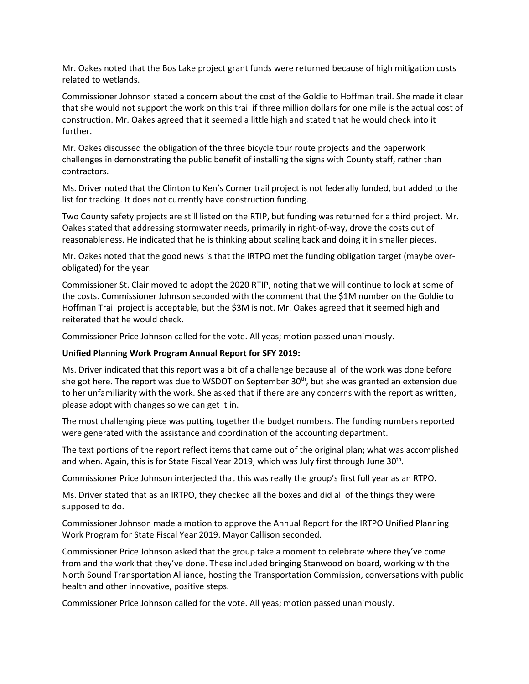Mr. Oakes noted that the Bos Lake project grant funds were returned because of high mitigation costs related to wetlands.

Commissioner Johnson stated a concern about the cost of the Goldie to Hoffman trail. She made it clear that she would not support the work on this trail if three million dollars for one mile is the actual cost of construction. Mr. Oakes agreed that it seemed a little high and stated that he would check into it further.

Mr. Oakes discussed the obligation of the three bicycle tour route projects and the paperwork challenges in demonstrating the public benefit of installing the signs with County staff, rather than contractors.

Ms. Driver noted that the Clinton to Ken's Corner trail project is not federally funded, but added to the list for tracking. It does not currently have construction funding.

Two County safety projects are still listed on the RTIP, but funding was returned for a third project. Mr. Oakes stated that addressing stormwater needs, primarily in right-of-way, drove the costs out of reasonableness. He indicated that he is thinking about scaling back and doing it in smaller pieces.

Mr. Oakes noted that the good news is that the IRTPO met the funding obligation target (maybe overobligated) for the year.

Commissioner St. Clair moved to adopt the 2020 RTIP, noting that we will continue to look at some of the costs. Commissioner Johnson seconded with the comment that the \$1M number on the Goldie to Hoffman Trail project is acceptable, but the \$3M is not. Mr. Oakes agreed that it seemed high and reiterated that he would check.

Commissioner Price Johnson called for the vote. All yeas; motion passed unanimously.

#### **Unified Planning Work Program Annual Report for SFY 2019:**

Ms. Driver indicated that this report was a bit of a challenge because all of the work was done before she got here. The report was due to WSDOT on September 30<sup>th</sup>, but she was granted an extension due to her unfamiliarity with the work. She asked that if there are any concerns with the report as written, please adopt with changes so we can get it in.

The most challenging piece was putting together the budget numbers. The funding numbers reported were generated with the assistance and coordination of the accounting department.

The text portions of the report reflect items that came out of the original plan; what was accomplished and when. Again, this is for State Fiscal Year 2019, which was July first through June 30<sup>th</sup>.

Commissioner Price Johnson interjected that this was really the group's first full year as an RTPO.

Ms. Driver stated that as an IRTPO, they checked all the boxes and did all of the things they were supposed to do.

Commissioner Johnson made a motion to approve the Annual Report for the IRTPO Unified Planning Work Program for State Fiscal Year 2019. Mayor Callison seconded.

Commissioner Price Johnson asked that the group take a moment to celebrate where they've come from and the work that they've done. These included bringing Stanwood on board, working with the North Sound Transportation Alliance, hosting the Transportation Commission, conversations with public health and other innovative, positive steps.

Commissioner Price Johnson called for the vote. All yeas; motion passed unanimously.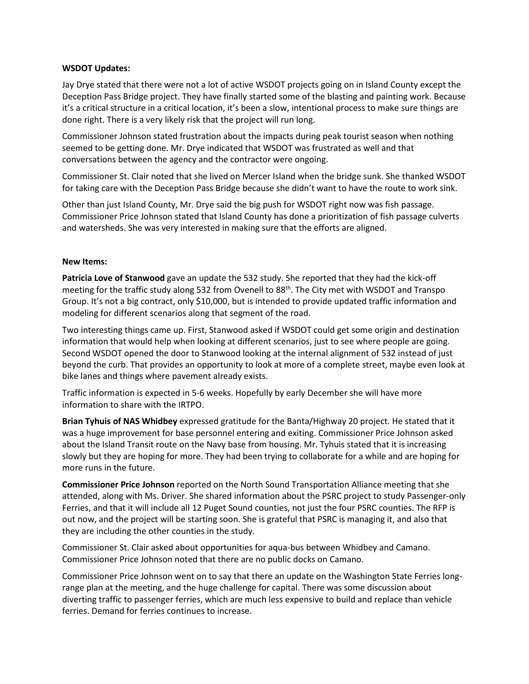#### **WSDOT Updates:**

Jay Drye stated that there were not a lot of active WSDOT projects going on in Island County except the Deception Pass Bridge project. They have finally started some of the blasting and painting work. Because it's a critical structure in a critical location, it's been a slow, intentional process to make sure things are done right. There is a very likely risk that the project will run long.

Commissioner Johnson stated frustration about the impacts during peak tourist season when nothing seemed to be getting done. Mr. Drye indicated that WSDOT was frustrated as well and that conversations between the agency and the contractor were ongoing.

Commissioner St. Clair noted that she lived on Mercer Island when the bridge sunk. She thanked WSDOT for taking care with the Deception Pass Bridge because she didn't want to have the route to work sink.

Other than just Island County, Mr. Drye said the big push for WSDOT right now was fish passage. Commissioner Price Johnson stated that Island County has done a prioritization of fish passage culverts and watersheds. She was very interested in making sure that the efforts are aligned.

#### **New Items:**

**Patricia Love of Stanwood** gave an update the 532 study. She reported that they had the kick-off meeting for the traffic study along 532 from Ovenell to 88<sup>th</sup>. The City met with WSDOT and Transpo Group. It's not a big contract, only \$10,000, but is intended to provide updated traffic information and modeling for different scenarios along that segment of the road.

Two interesting things came up. First, Stanwood asked if WSDOT could get some origin and destination information that would help when looking at different scenarios, just to see where people are going. Second WSDOT opened the door to Stanwood looking at the internal alignment of 532 instead of just beyond the curb. That provides an opportunity to look at more of a complete street, maybe even look at bike lanes and things where pavement already exists.

Traffic information is expected in 5-6 weeks. Hopefully by early December she will have more information to share with the IRTPO.

**Brian Tyhuis of NAS Whidbey** expressed gratitude for the Banta/Highway 20 project. He stated that it was a huge improvement for base personnel entering and exiting. Commissioner Price Johnson asked about the Island Transit route on the Navy base from housing. Mr. Tyhuis stated that it is increasing slowly but they are hoping for more. They had been trying to collaborate for a while and are hoping for more runs in the future.

**Commissioner Price Johnson** reported on the North Sound Transportation Alliance meeting that she attended, along with Ms. Driver. She shared information about the PSRC project to study Passenger-only Ferries, and that it will include all 12 Puget Sound counties, not just the four PSRC counties. The RFP is out now, and the project will be starting soon. She is grateful that PSRC is managing it, and also that they are including the other counties in the study.

Commissioner St. Clair asked about opportunities for aqua-bus between Whidbey and Camano. Commissioner Price Johnson noted that there are no public docks on Camano.

Commissioner Price Johnson went on to say that there an update on the Washington State Ferries longrange plan at the meeting, and the huge challenge for capital. There was some discussion about diverting traffic to passenger ferries, which are much less expensive to build and replace than vehicle ferries. Demand for ferries continues to increase.